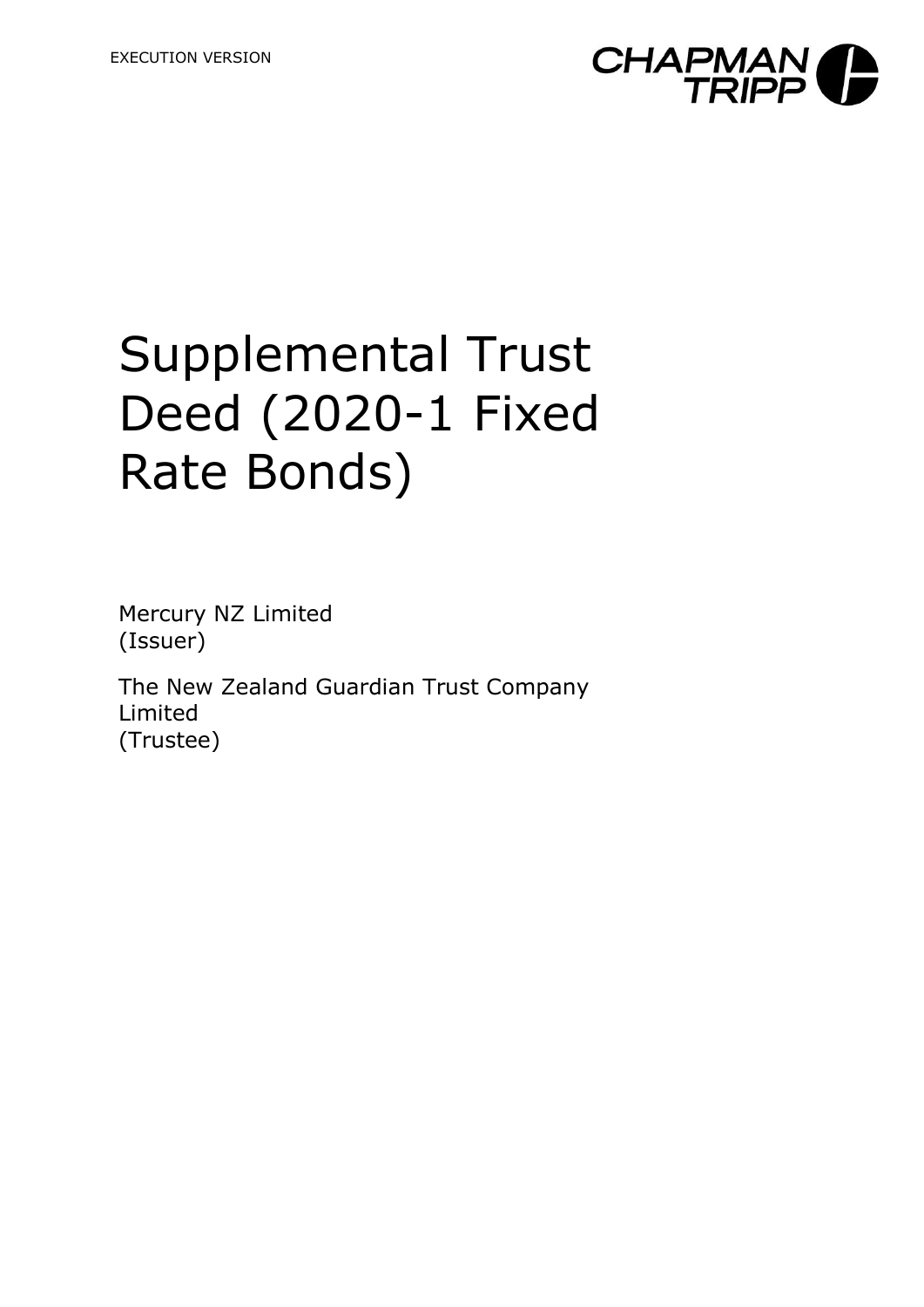

# Supplemental Trust Deed (2020-1 Fixed Rate Bonds)

Mercury NZ Limited (Issuer)

The New Zealand Guardian Trust Company Limited (Trustee)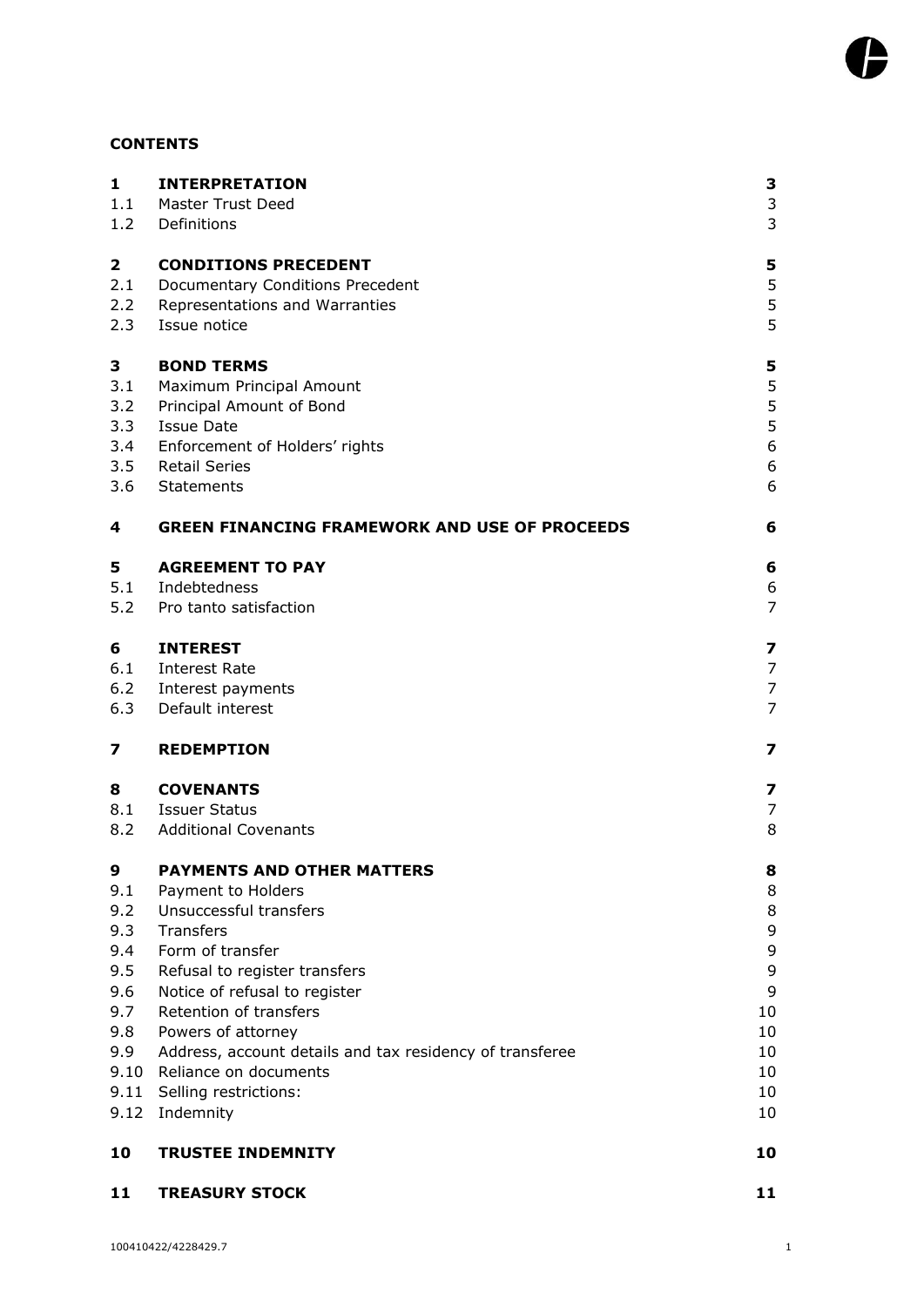# **CONTENTS**

| $\mathbf{1}$<br>1.1 | <b>INTERPRETATION</b><br><b>Master Trust Deed</b>        | 3<br>3                  |
|---------------------|----------------------------------------------------------|-------------------------|
| 1.2                 | Definitions                                              | 3                       |
| $\mathbf 2$         | <b>CONDITIONS PRECEDENT</b>                              | 5                       |
| 2.1                 | Documentary Conditions Precedent                         | 5                       |
| 2.2                 | Representations and Warranties                           | 5                       |
| 2.3                 | Issue notice                                             | 5                       |
| 3                   | <b>BOND TERMS</b>                                        | 5                       |
| 3.1                 | Maximum Principal Amount                                 | 5                       |
| 3.2                 | Principal Amount of Bond                                 | 5                       |
| 3.3                 | <b>Issue Date</b>                                        | 5                       |
| 3.4                 | Enforcement of Holders' rights                           | 6                       |
| 3.5                 | Retail Series                                            | 6                       |
| 3.6                 | Statements                                               | 6                       |
| 4                   | <b>GREEN FINANCING FRAMEWORK AND USE OF PROCEEDS</b>     | 6                       |
| 5                   | <b>AGREEMENT TO PAY</b>                                  | 6                       |
| 5.1                 | Indebtedness                                             | 6                       |
| 5.2                 | Pro tanto satisfaction                                   | $\overline{7}$          |
| 6                   | <b>INTEREST</b>                                          | $\overline{\mathbf{z}}$ |
| 6.1                 | Interest Rate                                            | 7                       |
| 6.2                 | Interest payments                                        | $\overline{7}$          |
| 6.3                 | Default interest                                         | 7                       |
| 7                   | <b>REDEMPTION</b>                                        | 7                       |
| 8                   | <b>COVENANTS</b>                                         | 7                       |
| 8.1                 | Issuer Status                                            | 7                       |
| 8.2                 | <b>Additional Covenants</b>                              | 8                       |
| 9                   | <b>PAYMENTS AND OTHER MATTERS</b>                        | 8                       |
| 9.1                 | Payment to Holders                                       | 8                       |
| 9.2                 | Unsuccessful transfers                                   | 8                       |
| 9.3                 | Transfers                                                | 9                       |
| 9.4                 | Form of transfer                                         | 9                       |
| 9.5                 | Refusal to register transfers                            | 9                       |
| 9.6<br>9.7          | Notice of refusal to register<br>Retention of transfers  | 9<br>10                 |
| 9.8                 | Powers of attorney                                       | 10                      |
| 9.9                 | Address, account details and tax residency of transferee | 10                      |
| 9.10                | Reliance on documents                                    | 10                      |
|                     | 9.11 Selling restrictions:                               | 10                      |
| 9.12                | Indemnity                                                | 10                      |
| 10                  | <b>TRUSTEE INDEMNITY</b>                                 | 10                      |
| 11                  | <b>TREASURY STOCK</b>                                    | 11                      |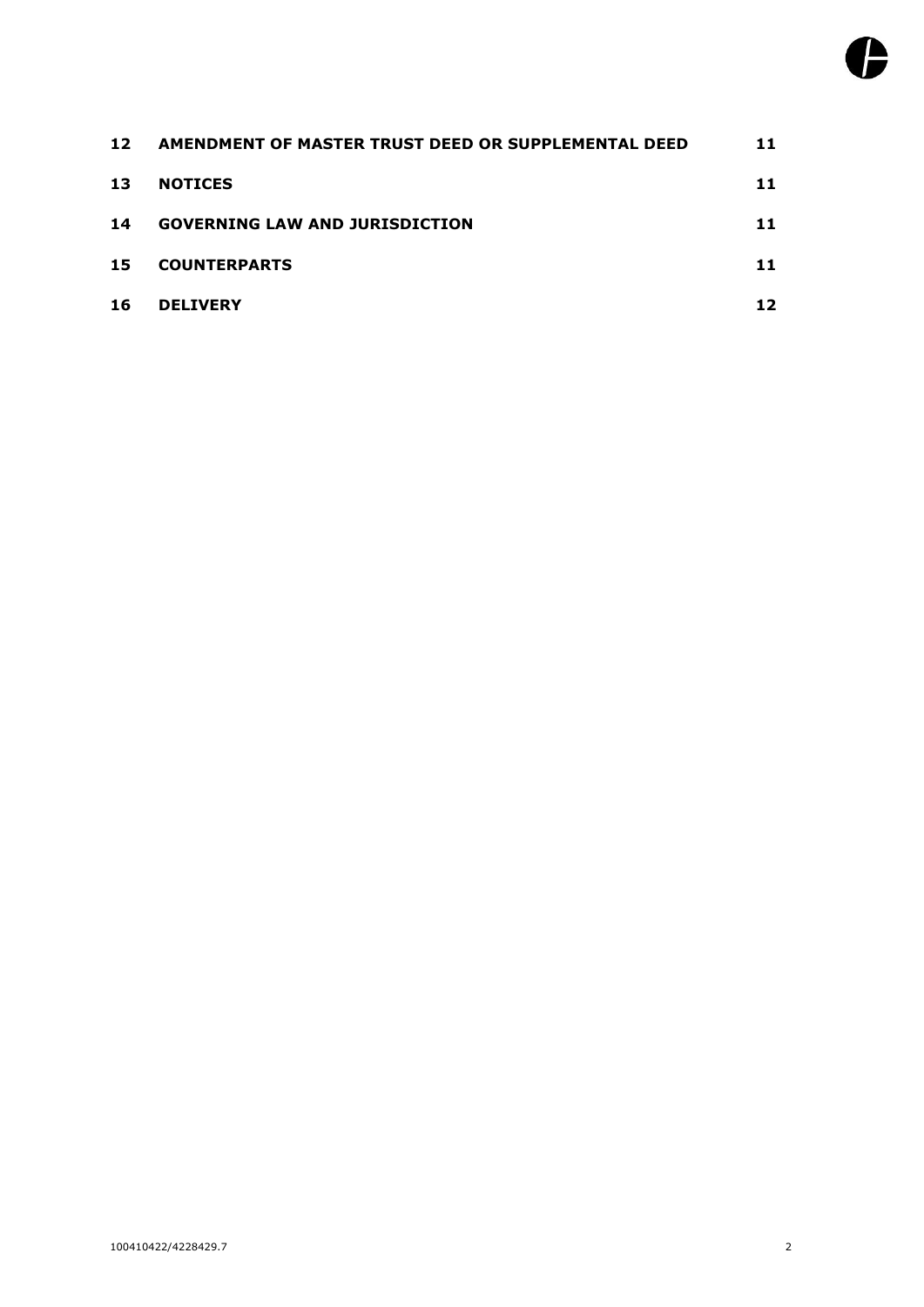| 12 | AMENDMENT OF MASTER TRUST DEED OR SUPPLEMENTAL DEED | 11 |
|----|-----------------------------------------------------|----|
| 13 | <b>NOTICES</b>                                      | 11 |
| 14 | <b>GOVERNING LAW AND JURISDICTION</b>               | 11 |
| 15 | <b>COUNTERPARTS</b>                                 | 11 |
| 16 | <b>DELIVERY</b>                                     | 12 |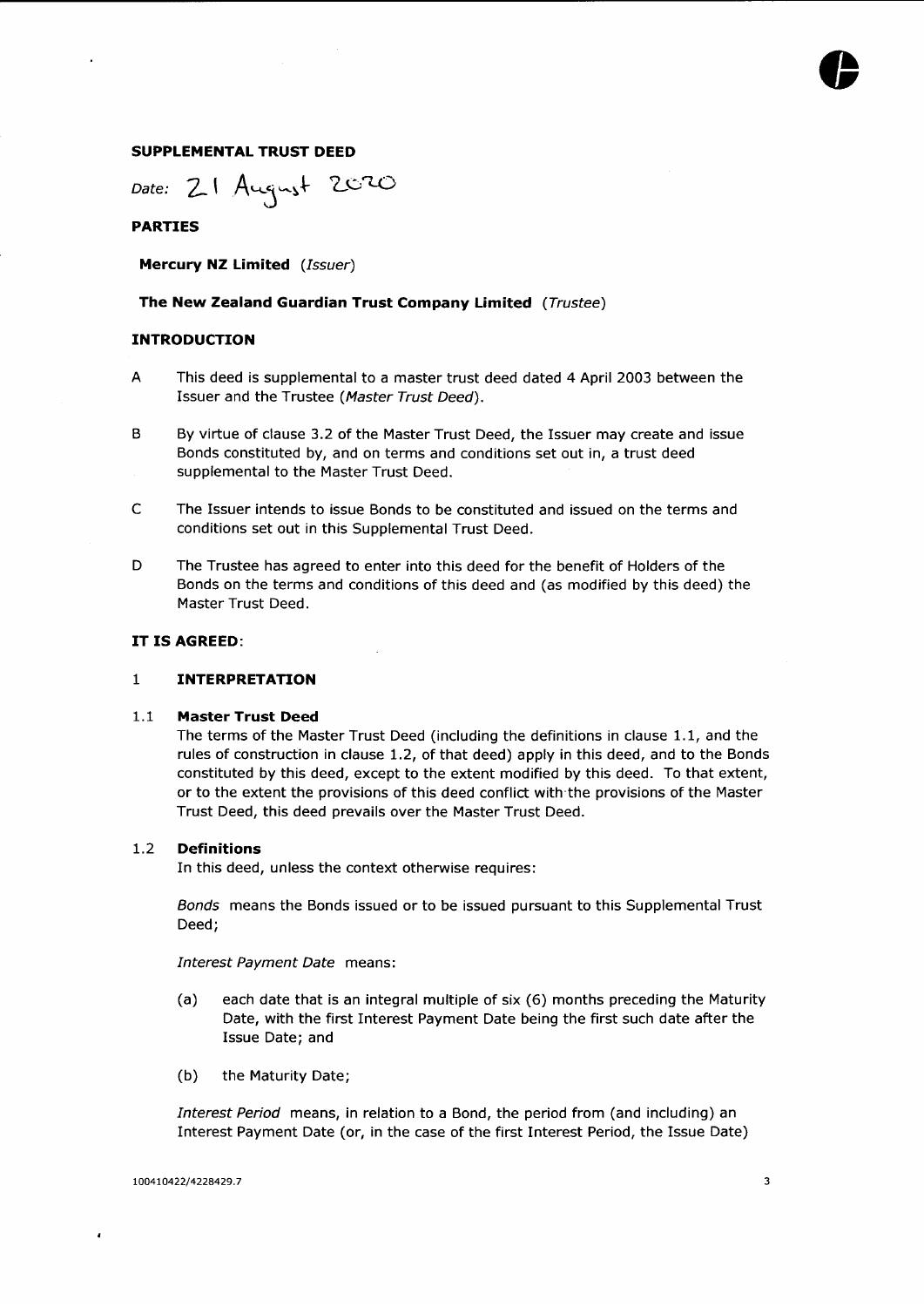#### **SUPPLEMENTAL TRUST DEED**

*Date:* 2-' A **)- 2.0'UD**

#### **PARTIES**

**Mercury NZ Limited** *(Issuer)*

#### **The New Zealand Guardian Trust Company Limited** *(Trustee)*

#### **INTRODUCTION**

- This deed is supplemental to a master trust deed dated 4 April 2003 between the Issuer and the Trustee *(Master Trust Deed).* A
- <sup>B</sup> By virtue of clause 3.2 of the Master Trust Deed, the Issuer may create and issue Bonds constituted by, and on terms and conditions set out in, a trust deed supplemental to the Master Trust Deed.
- C The Issuer intends to issue Bonds to be constituted and issued on the terms and conditions set out in this Supplemental Trust Deed.
- <sup>D</sup> The Trustee has agreed to enter into this deed for the benefit of Holders of the Bonds on the terms and conditions of this deed and (as modified by this deed) the Master Trust Deed.

#### **IT IS AGREED:**

#### **1 INTERPRETATION**

#### <span id="page-3-1"></span><span id="page-3-0"></span>**1.1 Master Trust Deed**

The terms of the Master Trust Deed (including the definitions in clause 1.1, and the rules of construction in clause 1.2, of that deed) apply in this deed, and to the Bonds constituted by this deed, except to the extent modified by this deed. To that extent, or to the extent the provisions of this deed conflict with the provisions of the Master Trust Deed, this deed prevails over the Master Trust Deed.

#### <span id="page-3-2"></span>**1.2 Definitions**

In this deed, unless the context otherwise requires:

*Bonds* means the Bonds issued or to be issued pursuant to this Supplemental Trust Deed;

*Interest Payment Date* means:

- (a) each date that is an integral multiple of six (6) months preceding the Maturity Date, with the first Interest Payment Date being the first such date after the Issue Date; and
- (b) the Maturity Date;

*Interest Period* means, in relation to a Bond, the period from (and including) an Interest Payment Date (or, in the case of the first Interest Period, the Issue Date)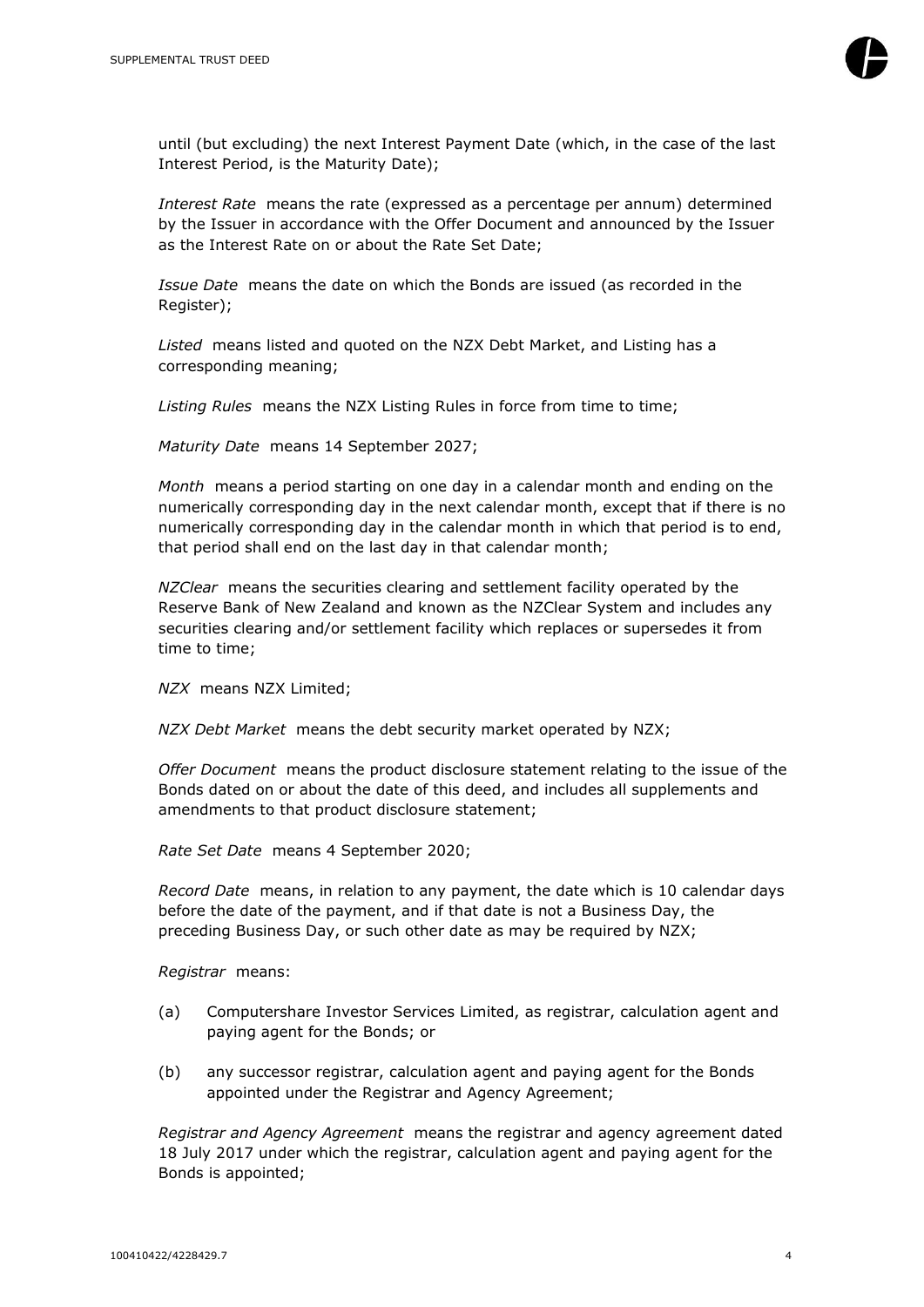

until (but excluding) the next Interest Payment Date (which, in the case of the last Interest Period, is the Maturity Date);

*Interest Rate* means the rate (expressed as a percentage per annum) determined by the Issuer in accordance with the Offer Document and announced by the Issuer as the Interest Rate on or about the Rate Set Date;

*Issue Date* means the date on which the Bonds are issued (as recorded in the Register);

*Listed* means listed and quoted on the NZX Debt Market, and Listing has a corresponding meaning;

*Listing Rules* means the NZX Listing Rules in force from time to time;

*Maturity Date* means 14 September 2027;

*Month* means a period starting on one day in a calendar month and ending on the numerically corresponding day in the next calendar month, except that if there is no numerically corresponding day in the calendar month in which that period is to end, that period shall end on the last day in that calendar month;

*NZClear* means the securities clearing and settlement facility operated by the Reserve Bank of New Zealand and known as the NZClear System and includes any securities clearing and/or settlement facility which replaces or supersedes it from time to time;

*NZX* means NZX Limited;

*NZX Debt Market* means the debt security market operated by NZX;

*Offer Document* means the product disclosure statement relating to the issue of the Bonds dated on or about the date of this deed, and includes all supplements and amendments to that product disclosure statement;

*Rate Set Date* means 4 September 2020;

*Record Date* means, in relation to any payment, the date which is 10 calendar days before the date of the payment, and if that date is not a Business Day, the preceding Business Day, or such other date as may be required by NZX;

*Registrar* means:

- (a) Computershare Investor Services Limited, as registrar, calculation agent and paying agent for the Bonds; or
- (b) any successor registrar, calculation agent and paying agent for the Bonds appointed under the Registrar and Agency Agreement;

*Registrar and Agency Agreement* means the registrar and agency agreement dated 18 July 2017 under which the registrar, calculation agent and paying agent for the Bonds is appointed;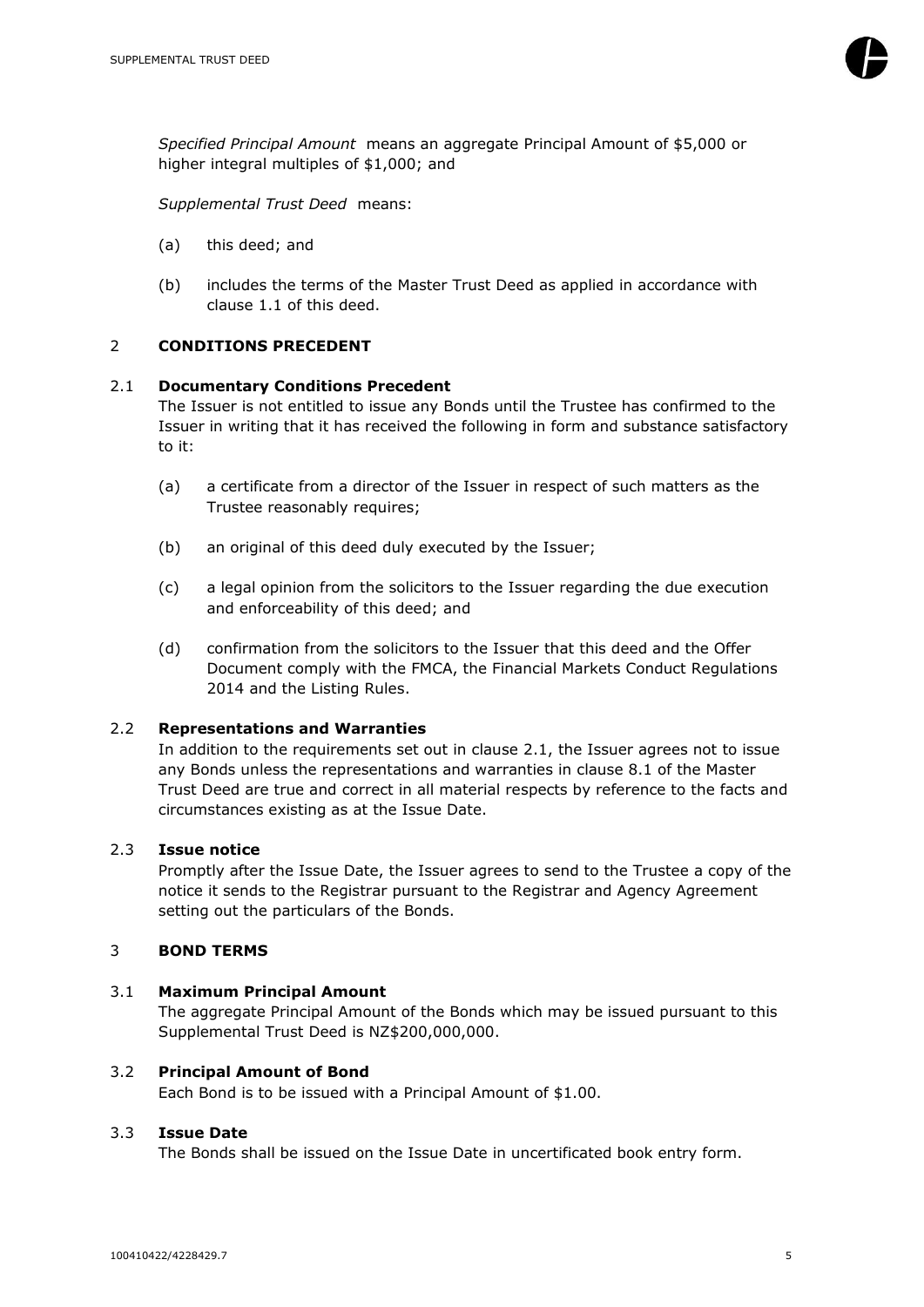

*Specified Principal Amount* means an aggregate Principal Amount of \$5,000 or higher integral multiples of \$1,000; and

*Supplemental Trust Deed* means:

- (a) this deed; and
- (b) includes the terms of the Master Trust Deed as applied in accordance with clause 1.1 of this deed.

# <span id="page-5-0"></span>2 **CONDITIONS PRECEDENT**

#### <span id="page-5-1"></span>2.1 **Documentary Conditions Precedent**

The Issuer is not entitled to issue any Bonds until the Trustee has confirmed to the Issuer in writing that it has received the following in form and substance satisfactory to it:

- (a) a certificate from a director of the Issuer in respect of such matters as the Trustee reasonably requires;
- (b) an original of this deed duly executed by the Issuer;
- (c) a legal opinion from the solicitors to the Issuer regarding the due execution and enforceability of this deed; and
- (d) confirmation from the solicitors to the Issuer that this deed and the Offer Document comply with the FMCA, the Financial Markets Conduct Regulations 2014 and the Listing Rules.

#### <span id="page-5-2"></span>2.2 **Representations and Warranties**

In addition to the requirements set out in clause [2.1,](#page-5-1) the Issuer agrees not to issue any Bonds unless the representations and warranties in clause 8.1 of the Master Trust Deed are true and correct in all material respects by reference to the facts and circumstances existing as at the Issue Date.

#### <span id="page-5-3"></span>2.3 **Issue notice**

Promptly after the Issue Date, the Issuer agrees to send to the Trustee a copy of the notice it sends to the Registrar pursuant to the Registrar and Agency Agreement setting out the particulars of the Bonds.

#### <span id="page-5-4"></span>3 **BOND TERMS**

#### <span id="page-5-5"></span>3.1 **Maximum Principal Amount**

The aggregate Principal Amount of the Bonds which may be issued pursuant to this Supplemental Trust Deed is NZ\$200,000,000.

#### <span id="page-5-6"></span>3.2 **Principal Amount of Bond**

Each Bond is to be issued with a Principal Amount of \$1.00.

#### <span id="page-5-7"></span>3.3 **Issue Date**

The Bonds shall be issued on the Issue Date in uncertificated book entry form.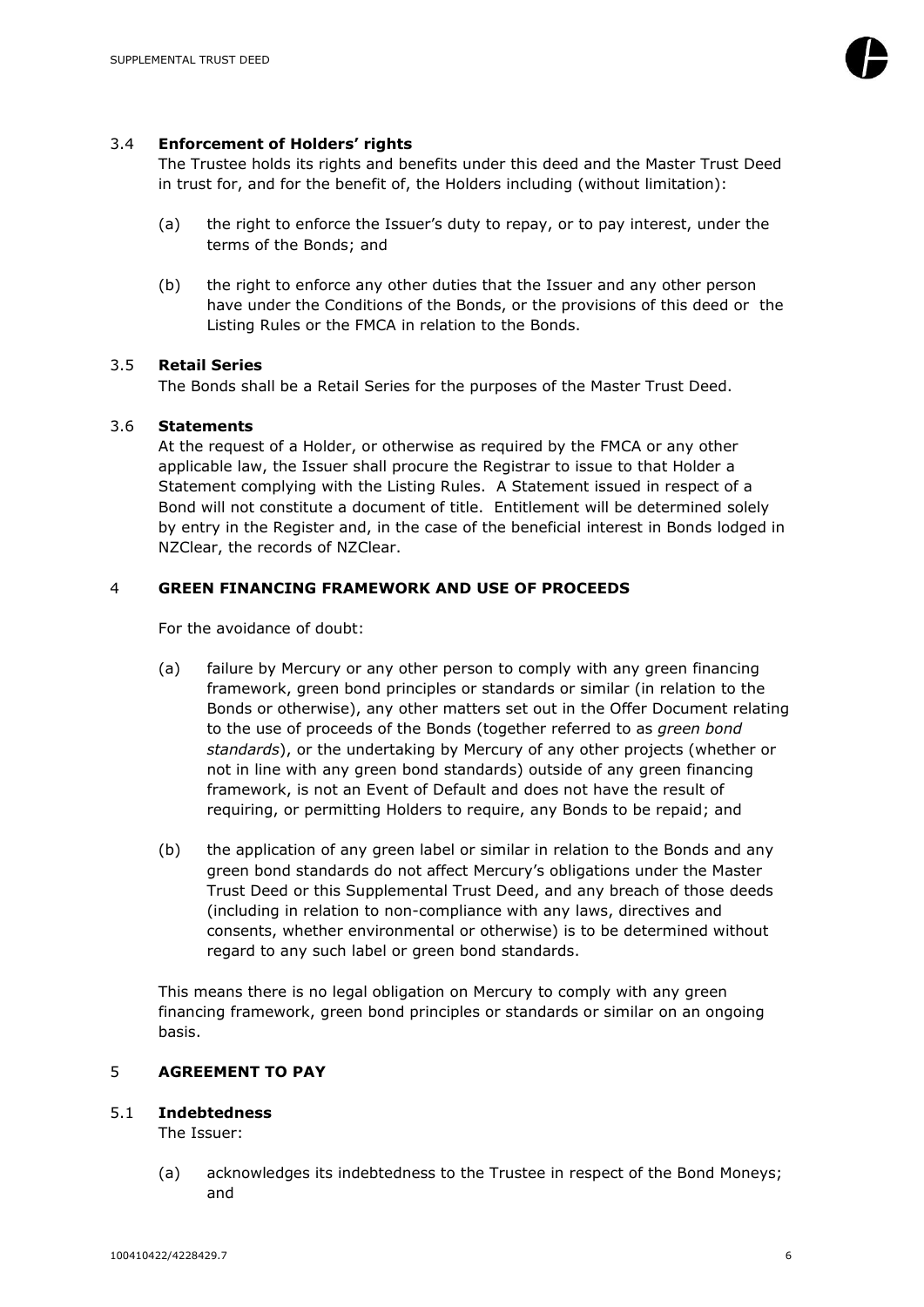#### <span id="page-6-0"></span>3.4 **Enforcement of Holders' rights**

The Trustee holds its rights and benefits under this deed and the Master Trust Deed in trust for, and for the benefit of, the Holders including (without limitation):

- (a) the right to enforce the Issuer's duty to repay, or to pay interest, under the terms of the Bonds; and
- (b) the right to enforce any other duties that the Issuer and any other person have under the Conditions of the Bonds, or the provisions of this deed or the Listing Rules or the FMCA in relation to the Bonds.

# <span id="page-6-1"></span>3.5 **Retail Series**

The Bonds shall be a Retail Series for the purposes of the Master Trust Deed.

# <span id="page-6-2"></span>3.6 **Statements**

At the request of a Holder, or otherwise as required by the FMCA or any other applicable law, the Issuer shall procure the Registrar to issue to that Holder a Statement complying with the Listing Rules. A Statement issued in respect of a Bond will not constitute a document of title. Entitlement will be determined solely by entry in the Register and, in the case of the beneficial interest in Bonds lodged in NZClear, the records of NZClear.

# <span id="page-6-3"></span>4 **GREEN FINANCING FRAMEWORK AND USE OF PROCEEDS**

For the avoidance of doubt:

- (a) failure by Mercury or any other person to comply with any green financing framework, green bond principles or standards or similar (in relation to the Bonds or otherwise), any other matters set out in the Offer Document relating to the use of proceeds of the Bonds (together referred to as *green bond standards*), or the undertaking by Mercury of any other projects (whether or not in line with any green bond standards) outside of any green financing framework, is not an Event of Default and does not have the result of requiring, or permitting Holders to require, any Bonds to be repaid; and
- (b) the application of any green label or similar in relation to the Bonds and any green bond standards do not affect Mercury's obligations under the Master Trust Deed or this Supplemental Trust Deed, and any breach of those deeds (including in relation to non-compliance with any laws, directives and consents, whether environmental or otherwise) is to be determined without regard to any such label or green bond standards.

This means there is no legal obligation on Mercury to comply with any green financing framework, green bond principles or standards or similar on an ongoing basis.

#### <span id="page-6-4"></span>5 **AGREEMENT TO PAY**

#### <span id="page-6-5"></span>5.1 **Indebtedness**

The Issuer:

(a) acknowledges its indebtedness to the Trustee in respect of the Bond Moneys; and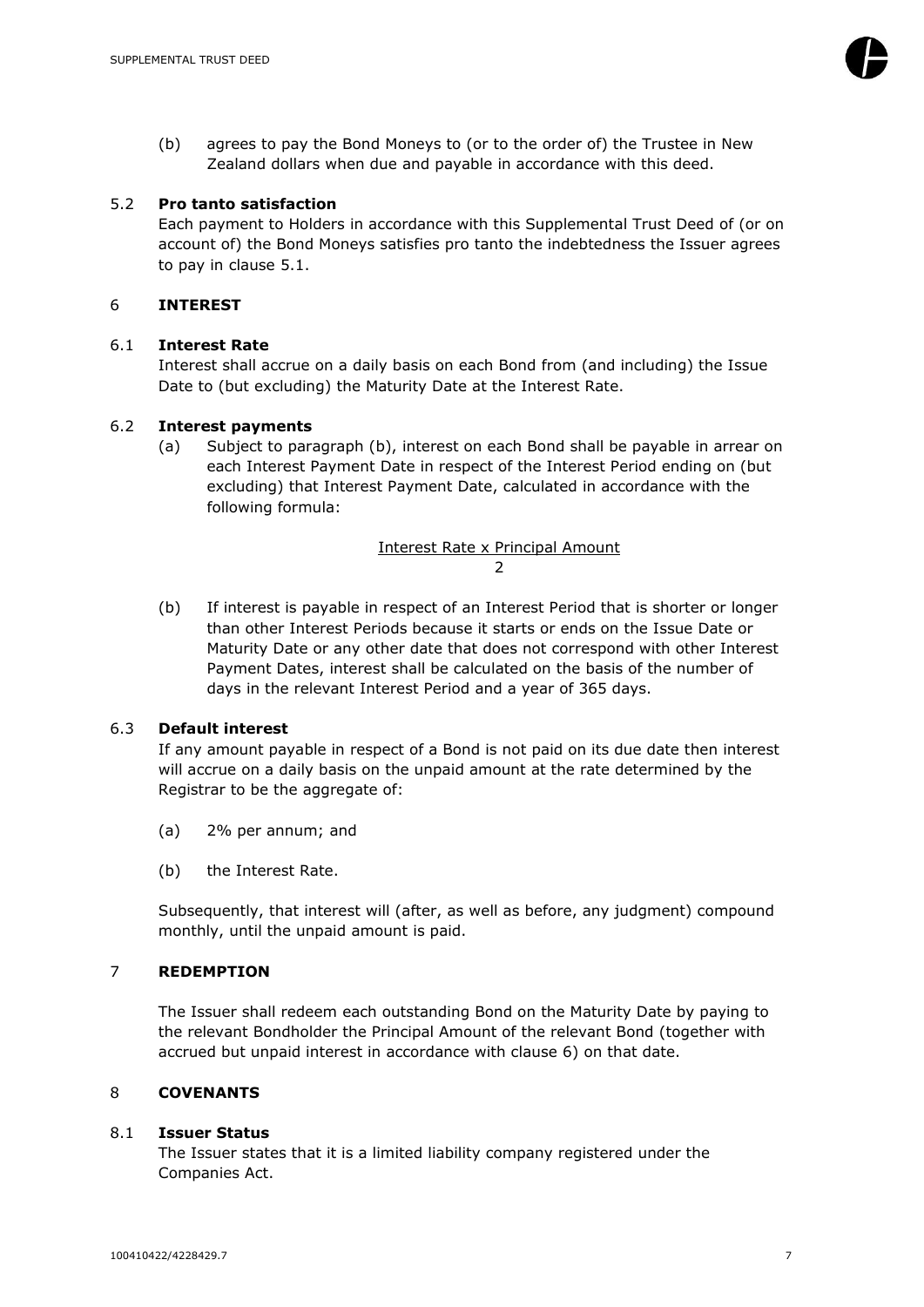(b) agrees to pay the Bond Moneys to (or to the order of) the Trustee in New Zealand dollars when due and payable in accordance with this deed.

#### <span id="page-7-0"></span>5.2 **Pro tanto satisfaction**

Each payment to Holders in accordance with this Supplemental Trust Deed of (or on account of) the Bond Moneys satisfies pro tanto the indebtedness the Issuer agrees to pay in clause [5.1.](#page-6-5)

#### <span id="page-7-1"></span>6 **INTEREST**

# <span id="page-7-2"></span>6.1 **Interest Rate**

Interest shall accrue on a daily basis on each Bond from (and including) the Issue Date to (but excluding) the Maturity Date at the Interest Rate.

# <span id="page-7-3"></span>6.2 **Interest payments**

(a) Subject to paragraph (b), interest on each Bond shall be payable in arrear on each Interest Payment Date in respect of the Interest Period ending on (but excluding) that Interest Payment Date, calculated in accordance with the following formula:

# Interest Rate x Principal Amount 2

(b) If interest is payable in respect of an Interest Period that is shorter or longer than other Interest Periods because it starts or ends on the Issue Date or Maturity Date or any other date that does not correspond with other Interest Payment Dates, interest shall be calculated on the basis of the number of days in the relevant Interest Period and a year of 365 days.

#### <span id="page-7-4"></span>6.3 **Default interest**

If any amount payable in respect of a Bond is not paid on its due date then interest will accrue on a daily basis on the unpaid amount at the rate determined by the Registrar to be the aggregate of:

- (a) 2% per annum; and
- (b) the Interest Rate.

Subsequently, that interest will (after, as well as before, any judgment) compound monthly, until the unpaid amount is paid.

# <span id="page-7-5"></span>7 **REDEMPTION**

The Issuer shall redeem each outstanding Bond on the Maturity Date by paying to the relevant Bondholder the Principal Amount of the relevant Bond (together with accrued but unpaid interest in accordance with clause [6\)](#page-7-1) on that date.

#### <span id="page-7-6"></span>8 **COVENANTS**

#### <span id="page-7-7"></span>8.1 **Issuer Status**

The Issuer states that it is a limited liability company registered under the Companies Act.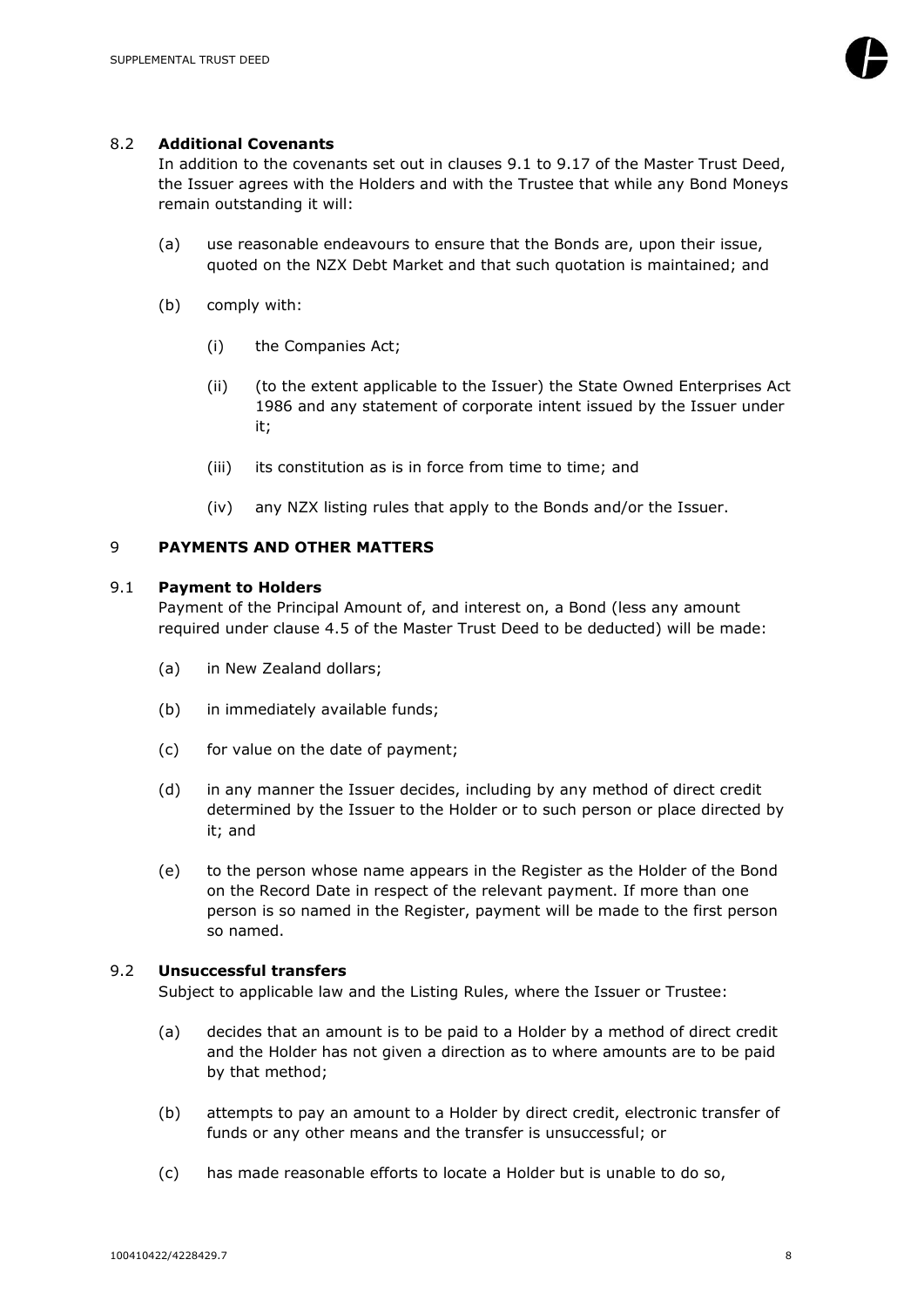

# <span id="page-8-0"></span>8.2 **Additional Covenants**

In addition to the covenants set out in clauses 9.1 to 9.17 of the Master Trust Deed, the Issuer agrees with the Holders and with the Trustee that while any Bond Moneys remain outstanding it will:

- (a) use reasonable endeavours to ensure that the Bonds are, upon their issue, quoted on the NZX Debt Market and that such quotation is maintained; and
- (b) comply with:
	- (i) the Companies Act;
	- (ii) (to the extent applicable to the Issuer) the State Owned Enterprises Act 1986 and any statement of corporate intent issued by the Issuer under it;
	- (iii) its constitution as is in force from time to time; and
	- (iv) any NZX listing rules that apply to the Bonds and/or the Issuer.

# <span id="page-8-1"></span>9 **PAYMENTS AND OTHER MATTERS**

#### <span id="page-8-2"></span>9.1 **Payment to Holders**

Payment of the Principal Amount of, and interest on, a Bond (less any amount required under clause 4.5 of the Master Trust Deed to be deducted) will be made:

- (a) in New Zealand dollars;
- (b) in immediately available funds;
- (c) for value on the date of payment;
- (d) in any manner the Issuer decides, including by any method of direct credit determined by the Issuer to the Holder or to such person or place directed by it; and
- (e) to the person whose name appears in the Register as the Holder of the Bond on the Record Date in respect of the relevant payment. If more than one person is so named in the Register, payment will be made to the first person so named.

#### <span id="page-8-3"></span>9.2 **Unsuccessful transfers**

Subject to applicable law and the Listing Rules, where the Issuer or Trustee:

- (a) decides that an amount is to be paid to a Holder by a method of direct credit and the Holder has not given a direction as to where amounts are to be paid by that method;
- (b) attempts to pay an amount to a Holder by direct credit, electronic transfer of funds or any other means and the transfer is unsuccessful; or
- (c) has made reasonable efforts to locate a Holder but is unable to do so,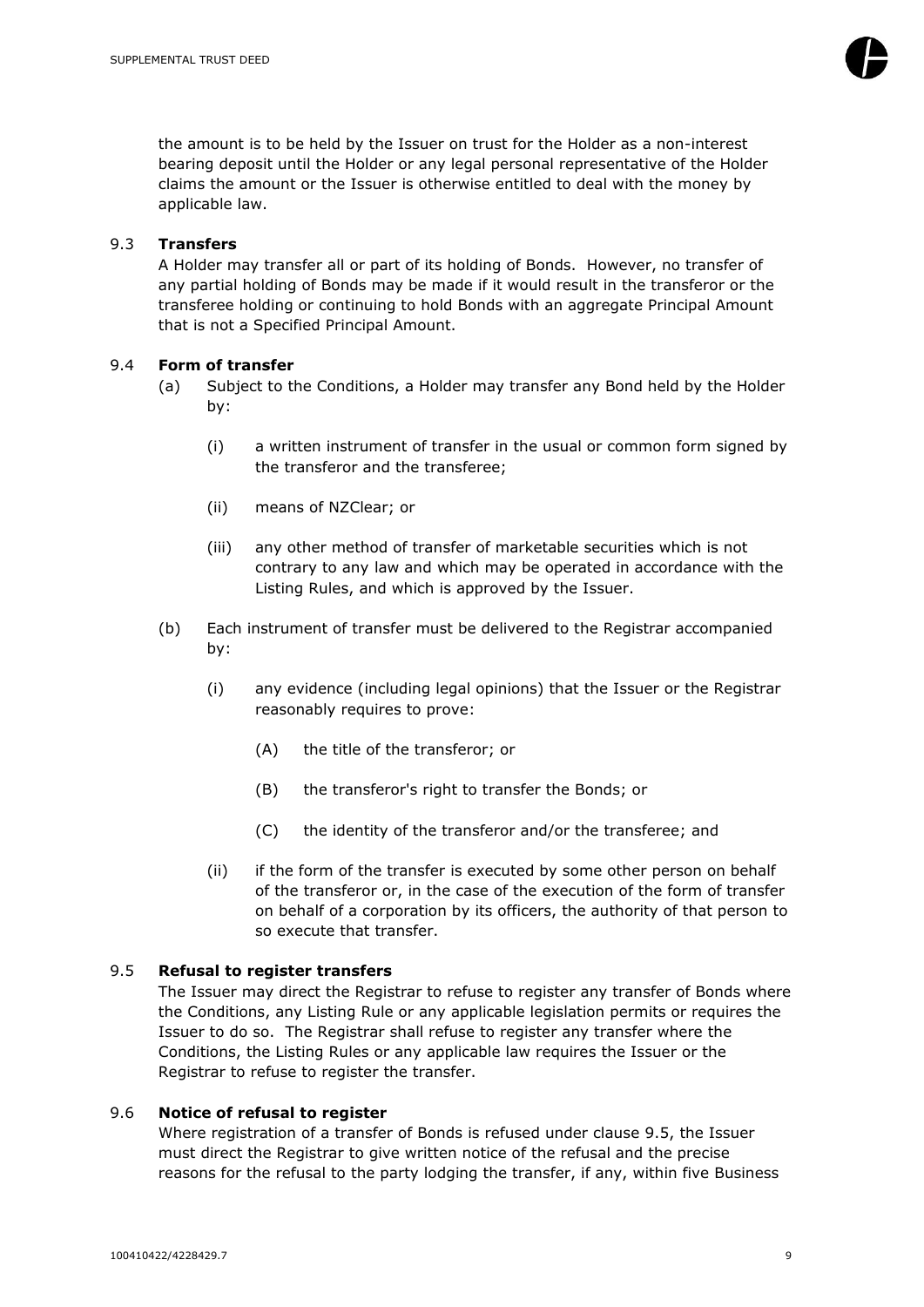

the amount is to be held by the Issuer on trust for the Holder as a non-interest bearing deposit until the Holder or any legal personal representative of the Holder claims the amount or the Issuer is otherwise entitled to deal with the money by applicable law.

#### <span id="page-9-0"></span>9.3 **Transfers**

A Holder may transfer all or part of its holding of Bonds. However, no transfer of any partial holding of Bonds may be made if it would result in the transferor or the transferee holding or continuing to hold Bonds with an aggregate Principal Amount that is not a Specified Principal Amount.

# <span id="page-9-1"></span>9.4 **Form of transfer**

- (a) Subject to the Conditions, a Holder may transfer any Bond held by the Holder by:
	- (i) a written instrument of transfer in the usual or common form signed by the transferor and the transferee;
	- (ii) means of NZClear; or
	- (iii) any other method of transfer of marketable securities which is not contrary to any law and which may be operated in accordance with the Listing Rules, and which is approved by the Issuer.
- (b) Each instrument of transfer must be delivered to the Registrar accompanied by:
	- (i) any evidence (including legal opinions) that the Issuer or the Registrar reasonably requires to prove:
		- (A) the title of the transferor; or
		- (B) the transferor's right to transfer the Bonds; or
		- (C) the identity of the transferor and/or the transferee; and
	- (ii) if the form of the transfer is executed by some other person on behalf of the transferor or, in the case of the execution of the form of transfer on behalf of a corporation by its officers, the authority of that person to so execute that transfer.

# <span id="page-9-2"></span>9.5 **Refusal to register transfers**

The Issuer may direct the Registrar to refuse to register any transfer of Bonds where the Conditions, any Listing Rule or any applicable legislation permits or requires the Issuer to do so. The Registrar shall refuse to register any transfer where the Conditions, the Listing Rules or any applicable law requires the Issuer or the Registrar to refuse to register the transfer.

#### <span id="page-9-3"></span>9.6 **Notice of refusal to register**

Where registration of a transfer of Bonds is refused under clause [9.5,](#page-9-2) the Issuer must direct the Registrar to give written notice of the refusal and the precise reasons for the refusal to the party lodging the transfer, if any, within five Business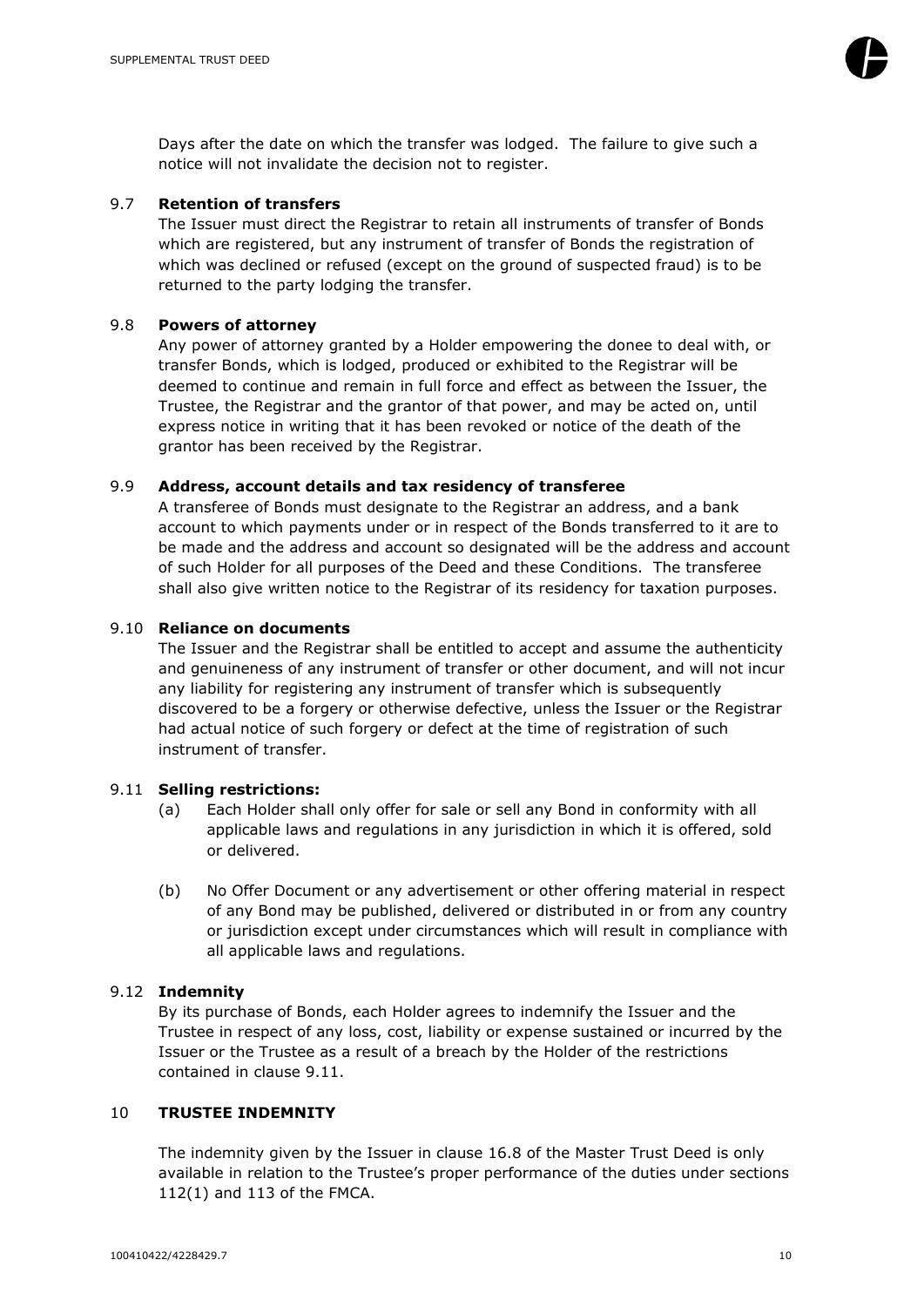

Days after the date on which the transfer was lodged. The failure to give such a notice will not invalidate the decision not to register.

#### <span id="page-10-0"></span>9.7 **Retention of transfers**

The Issuer must direct the Registrar to retain all instruments of transfer of Bonds which are registered, but any instrument of transfer of Bonds the registration of which was declined or refused (except on the ground of suspected fraud) is to be returned to the party lodging the transfer.

#### <span id="page-10-1"></span>9.8 **Powers of attorney**

Any power of attorney granted by a Holder empowering the donee to deal with, or transfer Bonds, which is lodged, produced or exhibited to the Registrar will be deemed to continue and remain in full force and effect as between the Issuer, the Trustee, the Registrar and the grantor of that power, and may be acted on, until express notice in writing that it has been revoked or notice of the death of the grantor has been received by the Registrar.

#### <span id="page-10-2"></span>9.9 **Address, account details and tax residency of transferee**

A transferee of Bonds must designate to the Registrar an address, and a bank account to which payments under or in respect of the Bonds transferred to it are to be made and the address and account so designated will be the address and account of such Holder for all purposes of the Deed and these Conditions. The transferee shall also give written notice to the Registrar of its residency for taxation purposes.

#### <span id="page-10-3"></span>9.10 **Reliance on documents**

The Issuer and the Registrar shall be entitled to accept and assume the authenticity and genuineness of any instrument of transfer or other document, and will not incur any liability for registering any instrument of transfer which is subsequently discovered to be a forgery or otherwise defective, unless the Issuer or the Registrar had actual notice of such forgery or defect at the time of registration of such instrument of transfer.

#### <span id="page-10-4"></span>9.11 **Selling restrictions:**

- (a) Each Holder shall only offer for sale or sell any Bond in conformity with all applicable laws and regulations in any jurisdiction in which it is offered, sold or delivered.
- (b) No Offer Document or any advertisement or other offering material in respect of any Bond may be published, delivered or distributed in or from any country or jurisdiction except under circumstances which will result in compliance with all applicable laws and regulations.

#### <span id="page-10-5"></span>9.12 **Indemnity**

By its purchase of Bonds, each Holder agrees to indemnify the Issuer and the Trustee in respect of any loss, cost, liability or expense sustained or incurred by the Issuer or the Trustee as a result of a breach by the Holder of the restrictions contained in clause [9.11.](#page-10-4)

#### <span id="page-10-6"></span>10 **TRUSTEE INDEMNITY**

The indemnity given by the Issuer in clause 16.8 of the Master Trust Deed is only available in relation to the Trustee's proper performance of the duties under sections 112(1) and 113 of the FMCA.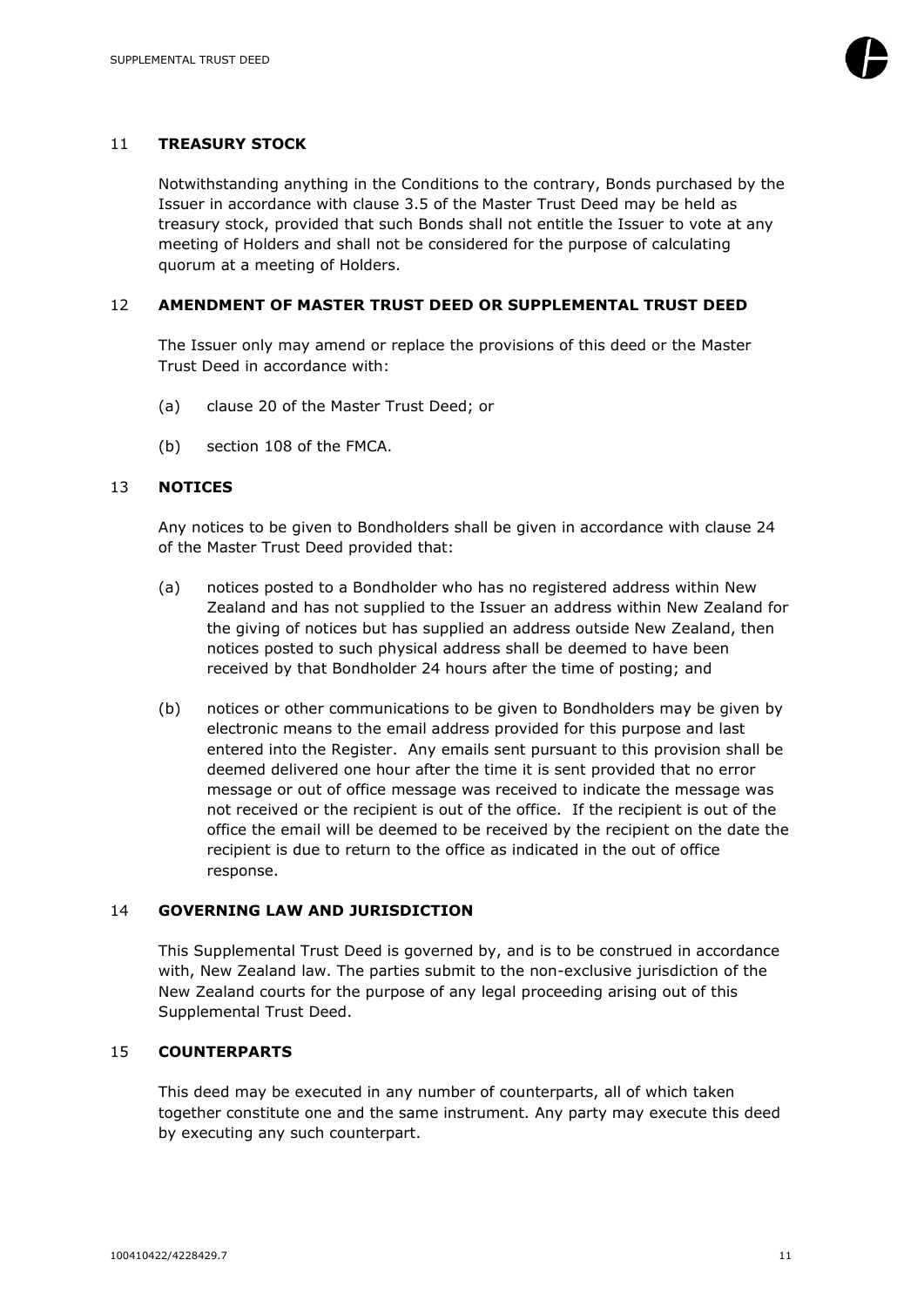

#### <span id="page-11-0"></span>11 **TREASURY STOCK**

Notwithstanding anything in the Conditions to the contrary, Bonds purchased by the Issuer in accordance with clause 3.5 of the Master Trust Deed may be held as treasury stock, provided that such Bonds shall not entitle the Issuer to vote at any meeting of Holders and shall not be considered for the purpose of calculating quorum at a meeting of Holders.

#### <span id="page-11-1"></span>12 **AMENDMENT OF MASTER TRUST DEED OR SUPPLEMENTAL TRUST DEED**

The Issuer only may amend or replace the provisions of this deed or the Master Trust Deed in accordance with:

- (a) clause 20 of the Master Trust Deed; or
- (b) section 108 of the FMCA.

#### <span id="page-11-2"></span>13 **NOTICES**

Any notices to be given to Bondholders shall be given in accordance with clause 24 of the Master Trust Deed provided that:

- (a) notices posted to a Bondholder who has no registered address within New Zealand and has not supplied to the Issuer an address within New Zealand for the giving of notices but has supplied an address outside New Zealand, then notices posted to such physical address shall be deemed to have been received by that Bondholder 24 hours after the time of posting; and
- (b) notices or other communications to be given to Bondholders may be given by electronic means to the email address provided for this purpose and last entered into the Register. Any emails sent pursuant to this provision shall be deemed delivered one hour after the time it is sent provided that no error message or out of office message was received to indicate the message was not received or the recipient is out of the office. If the recipient is out of the office the email will be deemed to be received by the recipient on the date the recipient is due to return to the office as indicated in the out of office response.

#### <span id="page-11-3"></span>14 **GOVERNING LAW AND JURISDICTION**

This Supplemental Trust Deed is governed by, and is to be construed in accordance with, New Zealand law. The parties submit to the non-exclusive jurisdiction of the New Zealand courts for the purpose of any legal proceeding arising out of this Supplemental Trust Deed.

# <span id="page-11-4"></span>15 **COUNTERPARTS**

This deed may be executed in any number of counterparts, all of which taken together constitute one and the same instrument. Any party may execute this deed by executing any such counterpart.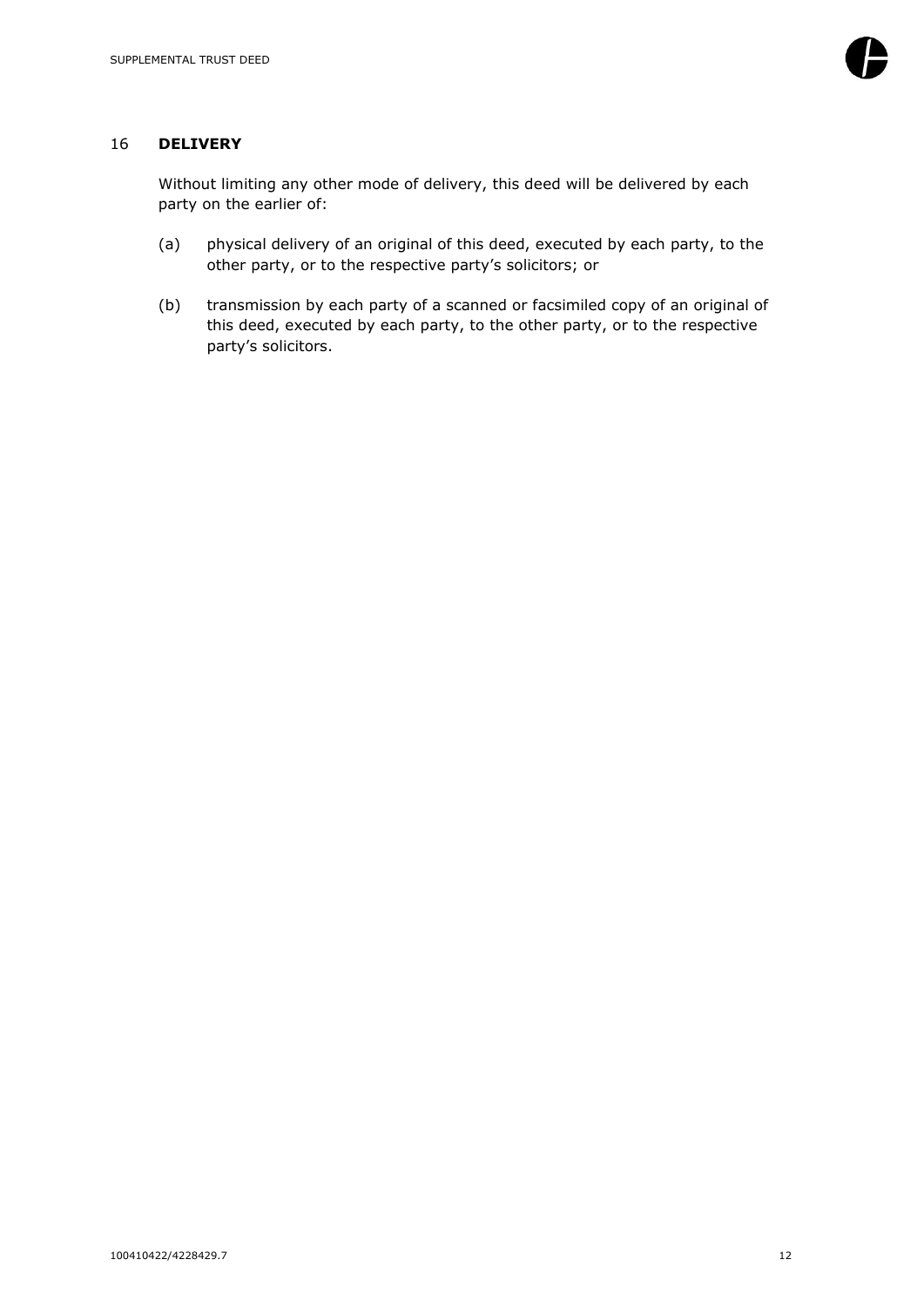#### <span id="page-12-0"></span>16 **DELIVERY**

Without limiting any other mode of delivery, this deed will be delivered by each party on the earlier of:

- (a) physical delivery of an original of this deed, executed by each party, to the other party, or to the respective party's solicitors; or
- (b) transmission by each party of a scanned or facsimiled copy of an original of this deed, executed by each party, to the other party, or to the respective party's solicitors.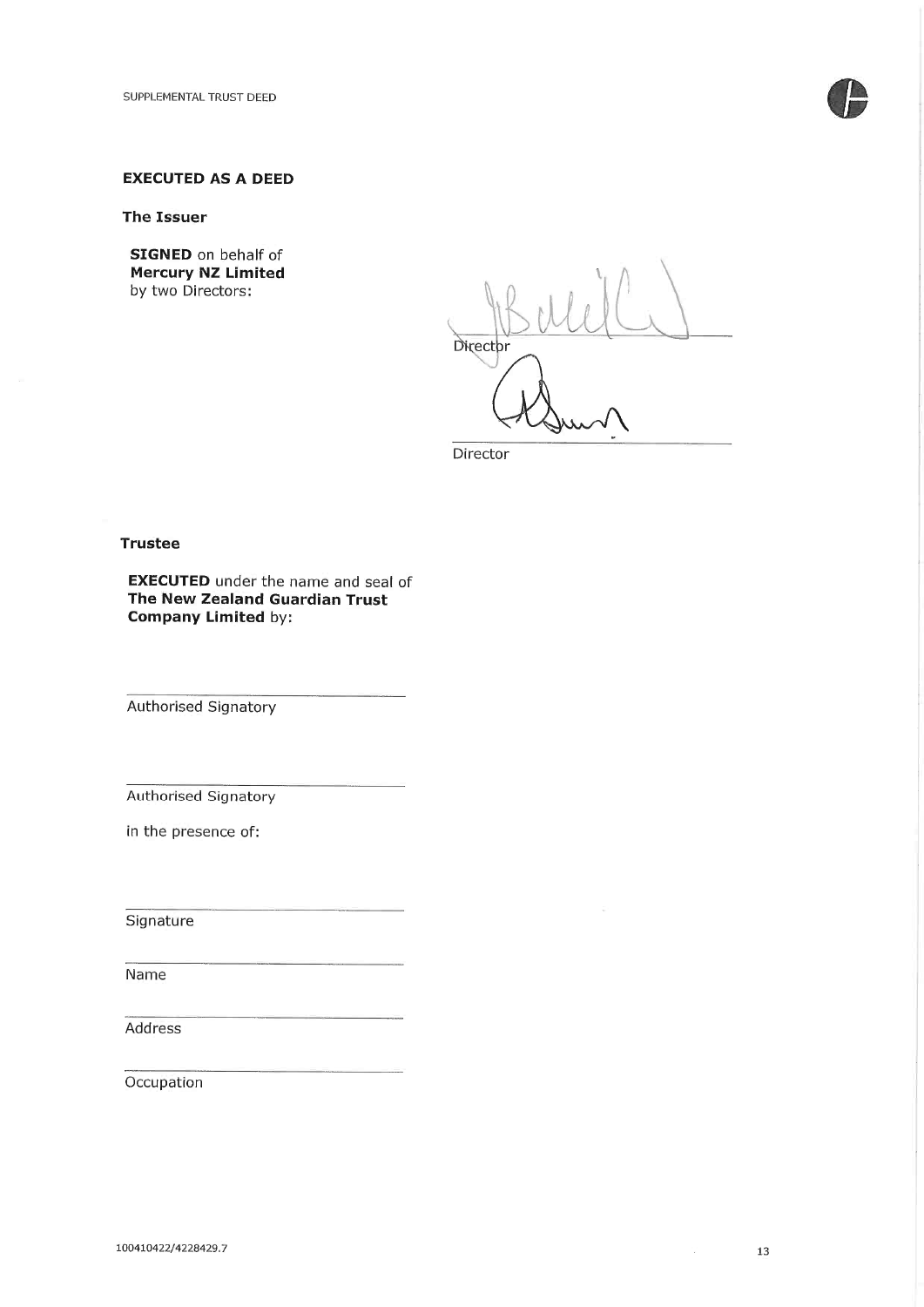

# **EXECUTED AS A DEED**

#### **The Issuer**

**SIGNED** on behalf of **Mercury NZ Limited** by two Directors:

Director

Director

#### **Trustee**

**EXECUTED** under the name and seal of The New Zealand Guardian Trust **Company Limited by:** 

Authorised Signatory

Authorised Signatory

in the presence of:

Signature

Name

Address

Occupation

 $\mathcal{N}_{\mathcal{N}}$